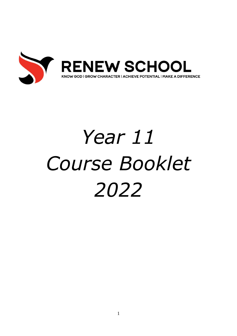

# *Year 11 Course Booklet 2022*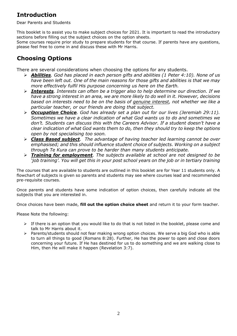# **Introduction**

Dear Parents and Students

This booklet is to assist you to make subject choices for 2021. It is important to read the introductory sections before filling out the subject choices on the option sheets.

Some courses require prior study to prepare students for that course. If parents have any questions, please feel free to come in and discuss these with Mr Harris.

# **Choosing Options**

There are several considerations when choosing the options for any students.

- ➢ *Abilities. God has placed in each person gifts and abilities (1 Peter 4:10). None of us have been left out. One of the main reasons for those gifts and abilities is that we may more effectively fulfil His purpose concerning us here on the Earth.*
- ➢ *Interests. Interests can often be a trigger also to help determine our direction. If we have a strong interest in an area, we are more likely to do well in it. However, decisions based on interests need to be on the basis of genuine interest, not whether we like a particular teacher, or our friends are doing that subject.*
- ➢ *Occupation Choice. God has already set a plan out for our lives (Jeremiah 29:11). Sometimes we have a clear indication of what God wants us to do and sometimes we don't. Students can discuss this with the Careers Advisor. If a student doesn't have a clear indication of what God wants them to do, then they should try to keep the options open by not specialising too soon.*
- ➢ *Class Based subject. The advantage of having teacher led learning cannot be over emphasised; and this should influence student choice of subjects. Working on a subject through Te Kura can prove to be harder than many students anticipate.*
- ➢ *Training for employment. The subjects available at school are not designed to be 'job training'. You will get this in your post school years on the job or in tertiary training*

The courses that are available to students are outlined in this booklet are for Year 11 students only. A flowchart of subjects is given so parents and students may see where courses lead and recommended pre-requisite courses.

Once parents and students have some indication of option choices, then carefully indicate all the subjects that you are interested in.

Once choices have been made, **fill out the option choice sheet** and return it to your form teacher.

Please Note the following:

- $\triangleright$  If there is an option that you would like to do that is not listed in the booklet, please come and talk to Mr Harris about it.
- ➢ Parents/students should not fear making wrong option choices. We serve a big God who is able to turn all things to good (Romans 8:28). Further, He has the power to open and close doors concerning your future. If He has destined for us to do something and we are walking close to Him, then He will make it happen (Revelation 3:7).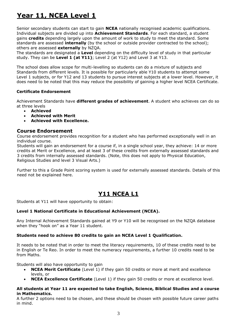# **Year 11, NCEA Level 1**

Senior secondary students can start to gain **NCEA** nationally recognised academic qualifications. Individual subjects are divided up into **Achievement Standards**. For each standard, a student gains **credits** depending largely upon the amount of work to study to meet the standard. Some standards are assessed **internally** (by the school or outside provider contracted to the school); others are assessed **externally** by NZQA.

The standards are designated a **Level** depending on the difficulty level of study in that particular study. They can be **Level 1 (at Y11)**; Level 2 (at Y12) and Level 3 at Y13.

The school does allow scope for multi-levelling so students can do a mixture of subjects and Standards from different levels. It is possible for particularly able Y10 students to attempt some Level 1 subjects, or for Y12 and 13 students to pursue interest subjects at a lower level. However, it does need to be noted that this may reduce the possibility of gaining a higher level NCEA Certificate.

#### **Certificate Endorsement**

Achievement Standards have **different grades of achievement**. A student who achieves can do so at three levels

- **Achieved**
- **Achieved with Merit**
- **Achieved with Excellence.**

## **Course Endorsement**

Course endorsement provides recognition for a student who has performed exceptionally well in an individual course.

Students will gain an endorsement for a course if, in a single school year, they achieve: 14 or more credits at Merit or Excellence, and at least 3 of these credits from externally assessed standards and 3 credits from internally assessed standards. (Note, this does not apply to Physical Education, Religious Studies and level 3 Visual Arts.)

Further to this a Grade Point scoring system is used for externally assessed standards. Details of this need not be explained here.

## **Y11 NCEA L1**

Students at Y11 will have opportunity to obtain:

#### **Level 1 National Certificate in Educational Achievement (NCEA).**

Any Internal Achievement Standards gained at Y9 or Y10 will be recognised on the NZQA database when they "hook on" as a Year 11 student.

#### **Students need to achieve 80 credits to gain an NCEA Level 1 Qualification.**

It needs to be noted that in order to meet the literacy requirements, 10 of these credits need to be in English or Te Reo. In order to meet the numeracy requirements, a further 10 credits need to be from Maths.

Students will also have opportunity to gain

- **NCEA Merit Certificate** (Level 1) if they gain 50 credits or more at merit and excellence levels, or
- **NCEA Excellence Certificate** (Level 1) if they gain 50 credits or more at excellence level.

#### **All students at Year 11 are expected to take English, Science, Biblical Studies and a course in Mathematics.**

A further 2 options need to be chosen, and these should be chosen with possible future career paths in mind.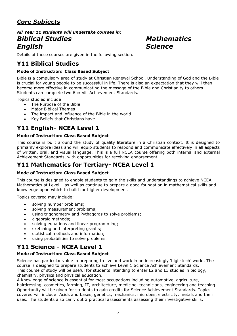# *Core Subjects*

## *All Year 11 students will undertake courses in: Biblical Studies Mathematics English Science*

Details of these courses are given in the following section.

# **Y11 Biblical Studies**

## **Mode of Instruction: Class Based Subject**

Bible is a compulsory area of study at Christian Renewal School. Understanding of God and the Bible is crucial for young people to be successful in life. There is also an expectation that they will then become more effective in communicating the message of the Bible and Christianity to others. Students can complete two 6 credit Achievement Standards.

Topics studied include:

- The Purpose of the Bible
- Major Biblical Themes
- The impact and influence of the Bible in the world.
- Key Beliefs that Christians have.

# **Y11 English- NCEA Level 1**

## **Mode of Instruction: Class Based Subject**

This course is built around the study of quality literature in a Christian context. It is designed to primarily explore ideas and will equip students to respond and communicate effectively in all aspects of written, oral, and visual language. This is a full NCEA course offering both internal and external Achievement Standards, with opportunities for receiving endorsement.

## **Y11 Mathematics for Tertiary- NCEA Level 1**

## **Mode of Instruction: Class Based Subject**

This course is designed to enable students to gain the skills and understandings to achieve NCEA Mathematics at Level 1 as well as continue to prepare a good foundation in mathematical skills and knowledge upon which to build for higher development.

Topics covered may include:

- solving number problems;
- solving measurement problems;
- using trigonometry and Pythagoras to solve problems;
- algebraic methods;
- solving equations and linear programming;
- sketching and interpreting graphs;
- statistical methods and information;
- using probabilities to solve problems.

# **Y11 Science - NCEA Level 1**

## **Mode of Instruction: Class Based Subject**

Science has particular value in preparing to live and work in an increasingly 'high-tech' world. The course is designed to prepare students to achieve Level 1 Science Achievement Standards. This course of study will be useful for students intending to enter L2 and L3 studies in biology, chemistry, physics and physical education.

A knowledge of science is essential for most occupations including automotive, agriculture, hairdressing, cosmetics, farming, IT, architecture, medicine, technicians, engineering and teaching. Opportunity will be given for students to gain credits for Science Achievement Standards. Topics covered will include: Acids and bases, genetics, mechanics, microbes, electricity, metals and their uses. The students also carry out 3 practical assessments assessing their investigative skills.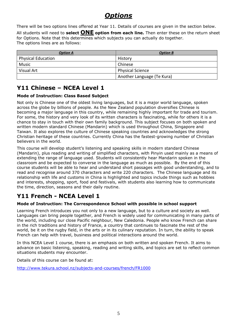# *Options*

There will be two options lines offered at Year 11. Details of courses are given in the section below.

All students will need to **select ONE option from each line.** Then enter these on the return sheet for Options. Note that this determines which subjects you can actually do together. The options lines are as follows:

| <b>Option A</b>           | <b>Option B</b>            |
|---------------------------|----------------------------|
| <b>Physical Education</b> | History                    |
| Music                     | Chinese                    |
| Visual Art                | <b>Physical Science</b>    |
|                           | Another Language (Te Kura) |

# **Y11 Chinese – NCEA Level 1**

## **Mode of Instruction: Class Based Subject**

Not only is Chinese one of the oldest living languages, but it is a major world language, spoken across the globe by billions of people. As the New Zealand population diversifies Chinese is becoming a major language in this country, while remaining highly important for trade and tourism. For some, the history and very look of its written characters is fascinating, while for others it is a chance to stay in touch with their own family background. This subject focuses on both spoken and written modern standard Chinese (Mandarin) which is used throughout China, Singapore and Taiwan. It also explores the culture of Chinese speaking countries and acknowledges the strong Christian heritage of these countries. Currently China has the fastest-growing number of Christian believers in the world.

This course will develop student's listening and speaking skills in modern standard Chinese (Mandarin), plus reading and writing of simplified characters, with Pinyin used mainly as a means of extending the range of language used. Students will consistently hear Mandarin spoken in the classroom and be expected to converse in the language as much as possible. By the end of this course students will be able to hear and understand short passages with good understanding, and to read and recognise around 370 characters and write 220 characters. The Chinese language and its relationship with life and customs in China is highlighted and topics include things such as hobbies and interests, shopping, sport, food and festivals, with students also learning how to communicate the time, direction, seasons and their daily routine.

# **Y11 French - NCEA Level 1**

## **Mode of Instruction: The Correspondence School with possible in school support**

Learning French introduces you not only to a new language, but to a culture and society as well. Languages can bring people together, and French is widely used for communicating in many parts of the world, including our close Pacific neighbour, New Caledonia. People who know French can share in the rich traditions and history of France, a country that continues to fascinate the rest of the world, be it on the rugby field, in the arts or in its culinary reputation. In turn, the ability to speak French can help with travel, business and political interactions around the world.

In this NCEA Level 1 course, there is an emphasis on both written and spoken French. It aims to advance on basic listening, speaking, reading and writing skills, and topics are set to reflect common situations students may encounter.

Details of this course can be found at:

http://www.tekura.school.nz/subjects-and-courses/french/FR1000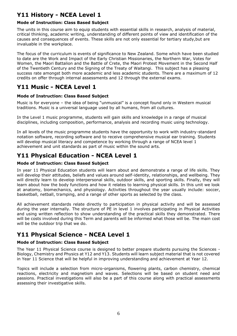# **Y11 History - NCEA Level 1**

## **Mode of Instruction: Class Based Subject**

The units in this course aim to equip students with essential skills in research, analysis of material, critical thinking, academic writing, understanding of different points of view and identification of the causes and consequences of events. These skills are not only essential for tertiary study,but are invaluable in the workplace.

The focus of the curriculum is events of significance to New Zealand. Some which have been studied to date are the Work and Impact of the Early Christian Missionaries, the Northern War, Votes for Women, the Maori Battalion and the Battle of Crete, the Maori Protest Movement in the Second Half of the Twentieth Century and the Signing of the Treaty of Waitangi. This subject has a pleasing success rate amongst both more academic and less academic students. There are a maximum of 12 credits on offer through internal assessments and 12 through the external exams.

# **Y11 Music - NCEA Level 1**

## **Mode of Instruction: Class Based Subject**

Music is for everyone – the idea of being "unmusical" is a concept found only in Western musical traditions. Music is a universal language used by all humans, from all cultures.

In the Level 1 music programme, students will gain skills and knowledge in a range of musical disciplines, including composition, performance, analysis and recording music using technology.

In all levels of the music programme students have the opportunity to work with industry-standard notation software, recording software and to receive comprehensive musical ear training. Students will develop musical literacy and competence by working through a range of NCEA level 1 achievement and unit standards as part of music within the sound arts.

## **Y11 Physical Education - NCEA Level 1**

## **Mode of Instruction: Class Based Subject**

In year 11 Physical Education students will learn about and demonstrate a range of life skills. They will develop their attitudes, beliefs and values around self-identity, relationships, and wellbeing. They will directly learn to develop interpersonal skills, outdoor skills, and sporting skills. Finally, they will learn about how the body functions and how it relates to learning physical skills. In this unit we look at anatomy, biomechanics, and physiology. Activities throughout the year usually include: soccer, basketball, netball, tramping, and a range of other sports as selected by the class.

All achievement standards relate directly to participation in physical activity and will be assessed during the year internally. The structure of PE in level 1 involves participating in Physical Activities and using written reflection to show understanding of the practical skills they demonstrated. There will be costs involved during this Term and parents will be informed what those will be. The main cost will be the outdoor trip that we do.

# **Y11 Physical Science - NCEA Level 1**

#### **Mode of Instruction: Class Based Subject**

The Year 11 Physical Science course is designed to better prepare students pursuing the Sciences - Biology, Chemistry and Physics at Y12 and Y13. Students will learn subject material that is not covered in Year 11 Science that will be helpful in improving understanding and achievement at Year 12.

Topics will include a selection from micro-organisms, flowering plants, carbon chemistry, chemical reactions, electricity and magnetism and waves. Selections will be based on student need and passions. Practical investigations will also be a part of this course along with practical assessments assessing their investigative skills.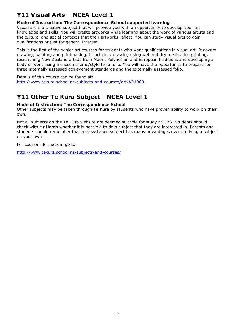# **Y11 Visual Arts – NCEA Level 1**

## **Mode of Instruction: The Correspondence School supported learning**

Visual art is a creative subject that will provide you with an opportunity to develop your art knowledge and skills. You will create artworks while learning about the work of various artists and the cultural and social contexts that their artworks reflect. You can study visual arts to gain qualifications or just for general interest.

This is the first of the senior art courses for students who want qualifications in visual art. It covers drawing, painting and printmaking. It includes: drawing using wet and dry media, lino printing, researching New Zealand artists from Maori, Polynesian and European traditions and developing a body of work using a chosen theme/style for a folio. You will have the opportunity to prepare for three internally assessed achievement standards and the externally assessed folio.

Details of this course can be found at: <http://www.tekura.school.nz/subjects-and-courses/art/AR1000>

# **Y11 Other Te Kura Subject - NCEA Level 1**

## **Mode of Instruction: The Correspondence School**

Other subjects may be taken through Te Kura by students who have proven ability to work on their own.

Not all subjects on the Te Kura website are deemed suitable for study at CRS. Students should check with Mr Harris whether it is possible to do a subject that they are interested in. Parents and students should remember that a class-based subject has many advantages over studying a subject on your own

For course information, go to:

<http://www.tekura.school.nz/subjects-and-courses/>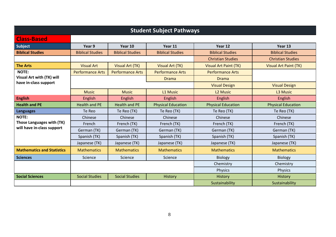| <b>Student Subject Pathways</b>   |                         |                         |                           |                              |                              |
|-----------------------------------|-------------------------|-------------------------|---------------------------|------------------------------|------------------------------|
| <b>Class-Based</b>                |                         |                         |                           |                              |                              |
| Subject                           | Year 9                  | Year 10                 | Year 11                   | Year 12                      | Year 13                      |
| <b>Biblical Studies</b>           | <b>Biblical Studies</b> | <b>Biblical Studies</b> | <b>Biblical Studies</b>   | <b>Biblical Studies</b>      | <b>Biblical Studies</b>      |
|                                   |                         |                         | <b>Christian Studies</b>  | <b>Christian Studies</b>     |                              |
| <b>The Arts</b>                   | <b>Visual Art</b>       | <b>Visual Art (TK)</b>  | <b>Visual Art (TK)</b>    | <b>Visual Art Paint (TK)</b> | <b>Visual Art Paint (TK)</b> |
| <b>NOTE:</b>                      | <b>Performance Arts</b> | <b>Performance Arts</b> | <b>Performance Arts</b>   | <b>Performance Arts</b>      |                              |
| Visual Art with (TK) will         |                         |                         | <b>Drama</b>              | <b>Drama</b>                 |                              |
| have in-class support             |                         |                         | <b>Visual Design</b>      | <b>Visual Design</b>         |                              |
|                                   | <b>Music</b>            | <b>Music</b>            | L1 Music                  | L <sub>2</sub> Music         | L3 Music                     |
| <b>English</b>                    | <b>English</b>          | English                 | <b>English</b>            | <b>English</b>               | English                      |
| <b>Health and PE</b>              | <b>Health and PE</b>    | <b>Health and PE</b>    | <b>Physical Education</b> | <b>Physical Education</b>    | <b>Physical Education</b>    |
| <b>Languages</b>                  | Te Reo                  | Te Reo (TK)             | Te Reo (TK)               | Te Reo (TK)                  | Te Reo (TK)                  |
| <b>NOTE:</b>                      | Chinese                 | Chinese                 | Chinese                   | Chinese                      | Chinese                      |
| Those Languages with (TK)         | French                  | French (TK)             | French (TK)               | French (TK)                  | French (TK)                  |
| will have in-class support        | German (TK)             | German (TK)             | German (TK)               | German (TK)                  | German (TK)                  |
|                                   | Spanish (TK)            | Spanish (TK)            | Spanish (TK)              | Spanish (TK)                 | Spanish (TK)                 |
|                                   | Japanese (TK)           | Japanese (TK)           | Japanese (TK)             | Japanese (TK)                | Japanese (TK)                |
| <b>Mathematics and Statistics</b> | <b>Mathematics</b>      | <b>Mathematics</b>      | <b>Mathematics</b>        | <b>Mathematics</b>           | <b>Mathematics</b>           |
| <b>Sciences</b>                   | Science                 | Science                 | Science                   | Biology                      | <b>Biology</b>               |
|                                   |                         |                         |                           | Chemistry                    | Chemistry                    |
|                                   |                         |                         |                           | Physics                      | Physics                      |
| <b>Social Sciences</b>            | <b>Social Studies</b>   | <b>Social Studies</b>   | <b>History</b>            | History                      | History                      |
|                                   |                         |                         |                           | Sustainability               | Sustainability               |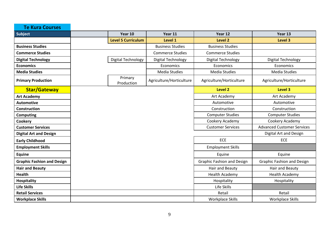| <b>Te Kura Courses</b>            |                           |                          |                                   |                                   |
|-----------------------------------|---------------------------|--------------------------|-----------------------------------|-----------------------------------|
| Subject                           | Year 10                   | Year 11                  | Year 12                           | Year 13                           |
|                                   | <b>Level 5 Curriculum</b> | Level 1                  | Level 2                           | Level 3                           |
| <b>Business Studies</b>           |                           | <b>Business Studies</b>  | <b>Business Studies</b>           |                                   |
| <b>Commerce Studies</b>           |                           | <b>Commerce Studies</b>  | <b>Commerce Studies</b>           |                                   |
| <b>Digital Technology</b>         | Digital Technology        | Digital Technology       | Digital Technology                | Digital Technology                |
| <b>Economics</b>                  |                           | Economics                | Economics                         | Economics                         |
| <b>Media Studies</b>              |                           | <b>Media Studies</b>     | <b>Media Studies</b>              | Media Studies                     |
| <b>Primary Production</b>         | Primary<br>Production     | Agriculture/Horticulture | Agriculture/Horticulture          | Agriculture/Horticulture          |
| <b>Star/Gateway</b>               |                           |                          | <b>Level 2</b>                    | Level 3                           |
| <b>Art Academy</b>                |                           |                          | Art Academy                       | Art Academy                       |
| <b>Automotive</b>                 |                           |                          | Automotive                        | Automotive                        |
| Construction                      |                           |                          | Construction                      | Construction                      |
| <b>Computing</b>                  |                           |                          | <b>Computer Studies</b>           | <b>Computer Studies</b>           |
| Cookery                           |                           |                          | Cookery Academy                   | Cookery Academy                   |
| <b>Customer Services</b>          |                           |                          | <b>Customer Services</b>          | <b>Advanced Customer Services</b> |
| <b>Digital Art and Design</b>     |                           |                          |                                   | Digital Art and Design            |
| <b>Early Childhood</b>            |                           |                          | <b>ECE</b>                        | ECE                               |
| <b>Employment Skills</b>          |                           |                          | <b>Employment Skills</b>          |                                   |
| <b>Equine</b>                     |                           |                          | Equine                            | Equine                            |
| <b>Graphic Fashion and Design</b> |                           |                          | <b>Graphic Fashion and Design</b> | <b>Graphic Fashion and Design</b> |
| <b>Hair and Beauty</b>            |                           |                          | Hair and Beauty                   | Hair and Beauty                   |
| <b>Health</b>                     |                           |                          | <b>Health Academy</b>             | Health Academy                    |
| <b>Hospitality</b>                |                           |                          | Hospitality                       | Hospitality                       |
| <b>Life Skills</b>                |                           |                          | Life Skills                       |                                   |
| <b>Retail Services</b>            |                           |                          | Retail                            | Retail                            |
| <b>Workplace Skills</b>           |                           |                          | <b>Workplace Skills</b>           | <b>Workplace Skills</b>           |